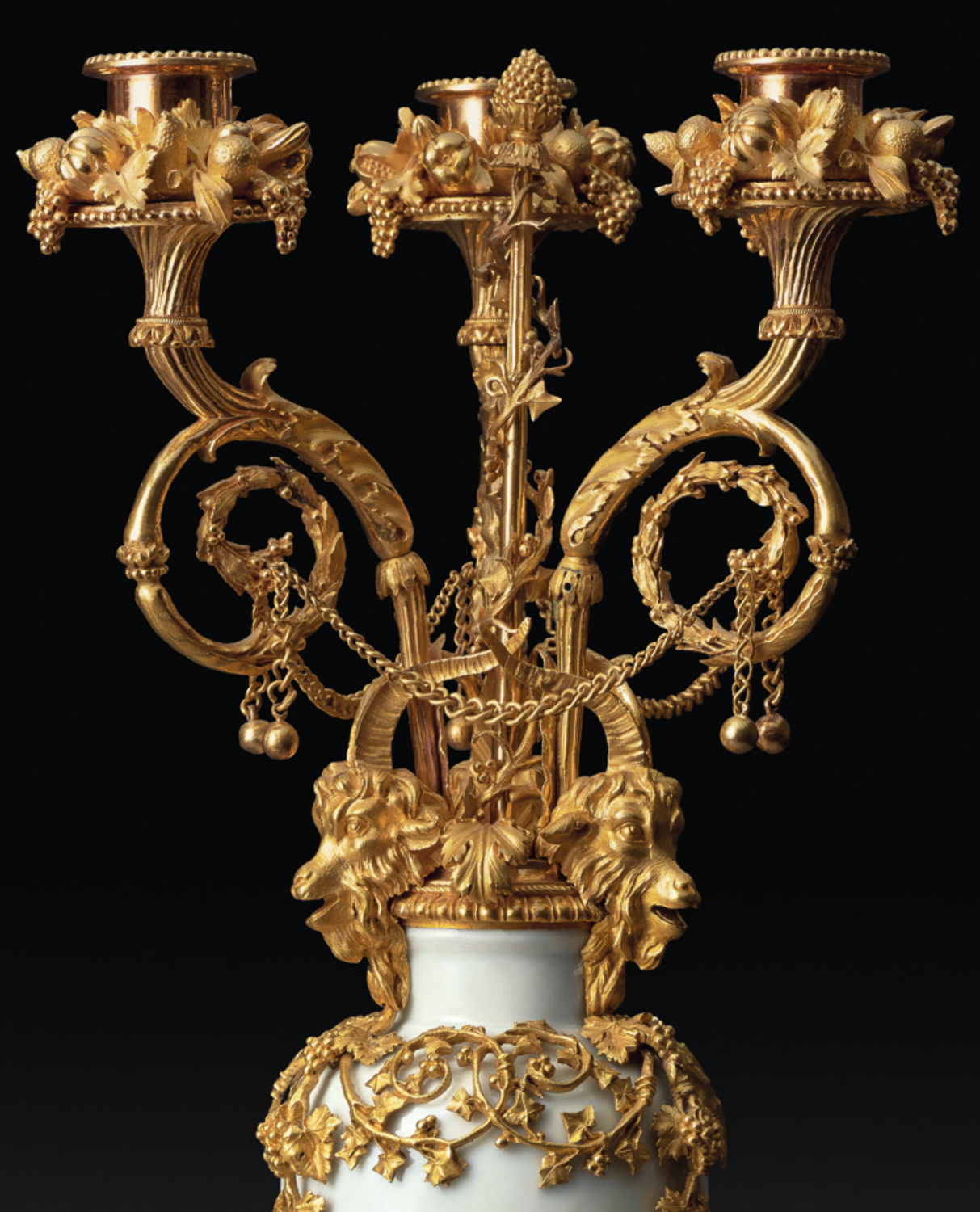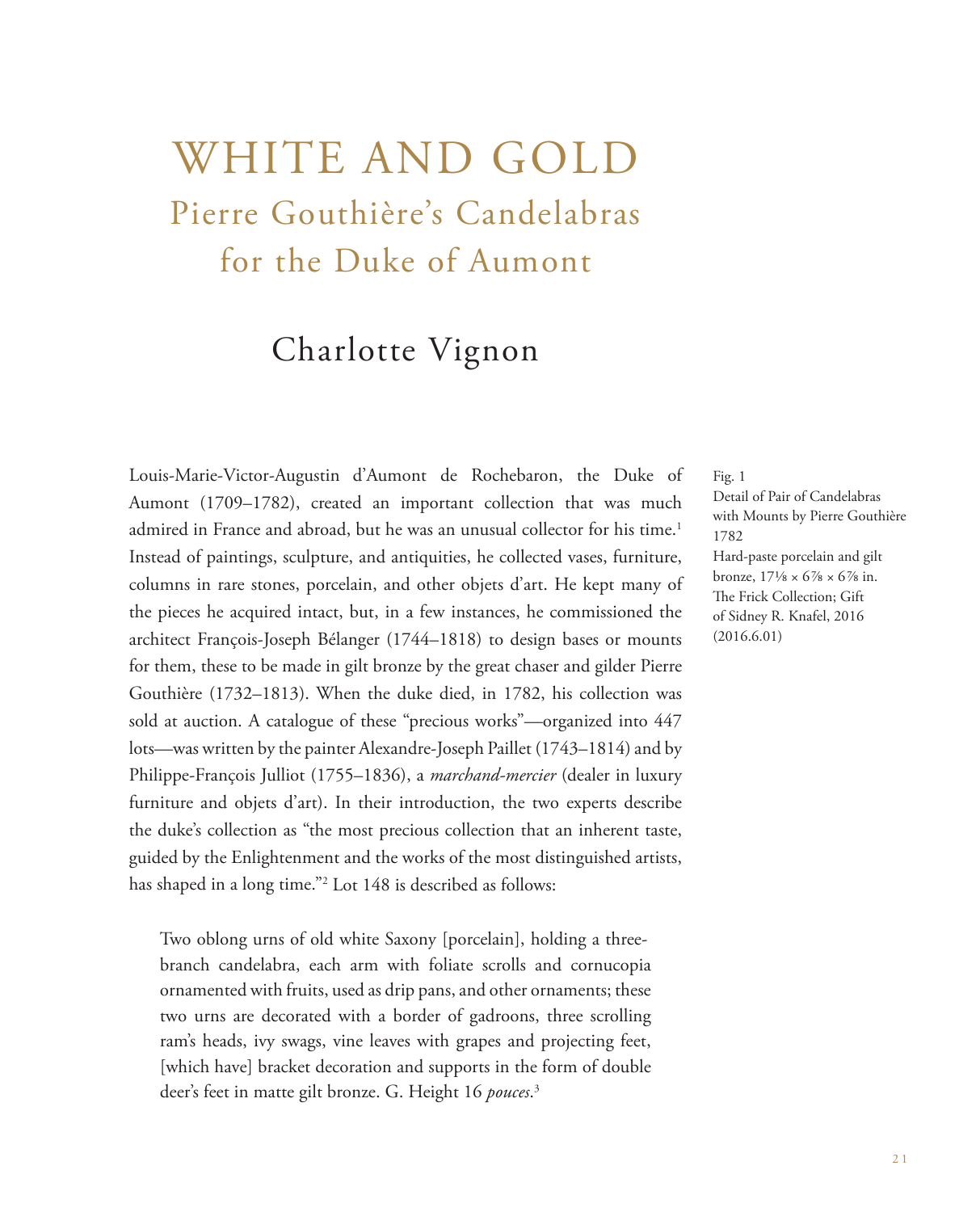# WHITE AND GOLD Pierre Gouthière's Candelabras for the Duke of Aumont

## Charlotte Vignon

Louis-Marie-Victor-Augustin d'Aumont de Rochebaron, the Duke of Aumont (1709–1782), created an important collection that was much admired in France and abroad, but he was an unusual collector for his time.<sup>1</sup> Instead of paintings, sculpture, and antiquities, he collected vases, furniture, columns in rare stones, porcelain, and other objets d'art. He kept many of the pieces he acquired intact, but, in a few instances, he commissioned the architect François-Joseph Bélanger (1744–1818) to design bases or mounts for them, these to be made in gilt bronze by the great chaser and gilder Pierre Gouthière (1732–1813). When the duke died, in 1782, his collection was sold at auction. A catalogue of these "precious works"—organized into 447 lots—was written by the painter Alexandre-Joseph Paillet (1743–1814) and by Philippe-François Julliot (1755–1836), a *marchand-mercier* (dealer in luxury furniture and objets d'art). In their introduction, the two experts describe the duke's collection as "the most precious collection that an inherent taste, guided by the Enlightenment and the works of the most distinguished artists, has shaped in a long time."2 Lot 148 is described as follows:

Two oblong urns of old white Saxony [porcelain], holding a threebranch candelabra, each arm with foliate scrolls and cornucopia ornamented with fruits, used as drip pans, and other ornaments; these two urns are decorated with a border of gadroons, three scrolling ram's heads, ivy swags, vine leaves with grapes and projecting feet, [which have] bracket decoration and supports in the form of double deer's feet in matte gilt bronze. G. Height 16 *pouces*. 3

Fig. 1 Detail of Pair of Candelabras with Mounts by Pierre Gouthière 1782 Hard-paste porcelain and gilt bronze,  $17\frac{1}{8} \times 6\frac{7}{8} \times 6\frac{7}{8}$  in. The Frick Collection; Gift of Sidney R. Knafel, 2016 (2016.6.01)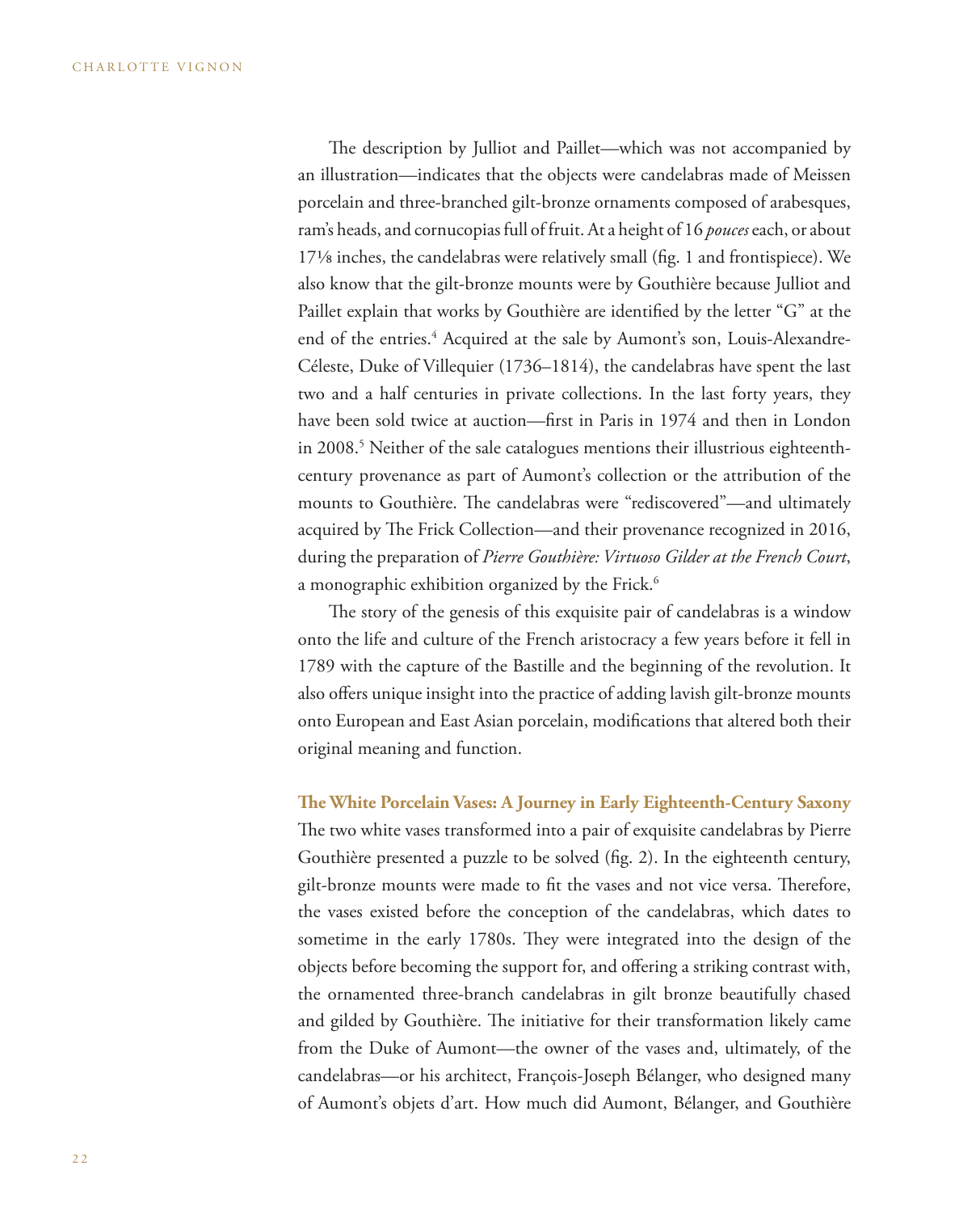The description by Julliot and Paillet—which was not accompanied by an illustration—indicates that the objects were candelabras made of Meissen porcelain and three-branched gilt-bronze ornaments composed of arabesques, ram's heads, and cornucopias full of fruit. At a height of 16 *pouces* each, or about 171⁄8 inches, the candelabras were relatively small (fig. 1 and frontispiece). We also know that the gilt-bronze mounts were by Gouthière because Julliot and Paillet explain that works by Gouthière are identified by the letter "G" at the end of the entries.4 Acquired at the sale by Aumont's son, Louis-Alexandre-Céleste, Duke of Villequier (1736–1814), the candelabras have spent the last two and a half centuries in private collections. In the last forty years, they have been sold twice at auction—first in Paris in 1974 and then in London in 2008.5 Neither of the sale catalogues mentions their illustrious eighteenthcentury provenance as part of Aumont's collection or the attribution of the mounts to Gouthière. The candelabras were "rediscovered"—and ultimately acquired by The Frick Collection—and their provenance recognized in 2016, during the preparation of *Pierre Gouthière: Virtuoso Gilder at the French Court*, a monographic exhibition organized by the Frick.<sup>6</sup>

The story of the genesis of this exquisite pair of candelabras is a window onto the life and culture of the French aristocracy a few years before it fell in 1789 with the capture of the Bastille and the beginning of the revolution. It also offers unique insight into the practice of adding lavish gilt-bronze mounts onto European and East Asian porcelain, modifications that altered both their original meaning and function.

**The White Porcelain Vases: A Journey in Early Eighteenth-Century Saxony** The two white vases transformed into a pair of exquisite candelabras by Pierre Gouthière presented a puzzle to be solved (fig. 2). In the eighteenth century, gilt-bronze mounts were made to fit the vases and not vice versa. Therefore, the vases existed before the conception of the candelabras, which dates to sometime in the early 1780s. They were integrated into the design of the objects before becoming the support for, and offering a striking contrast with, the ornamented three-branch candelabras in gilt bronze beautifully chased and gilded by Gouthière. The initiative for their transformation likely came from the Duke of Aumont—the owner of the vases and, ultimately, of the candelabras—or his architect, François-Joseph Bélanger, who designed many of Aumont's objets d'art. How much did Aumont, Bélanger, and Gouthière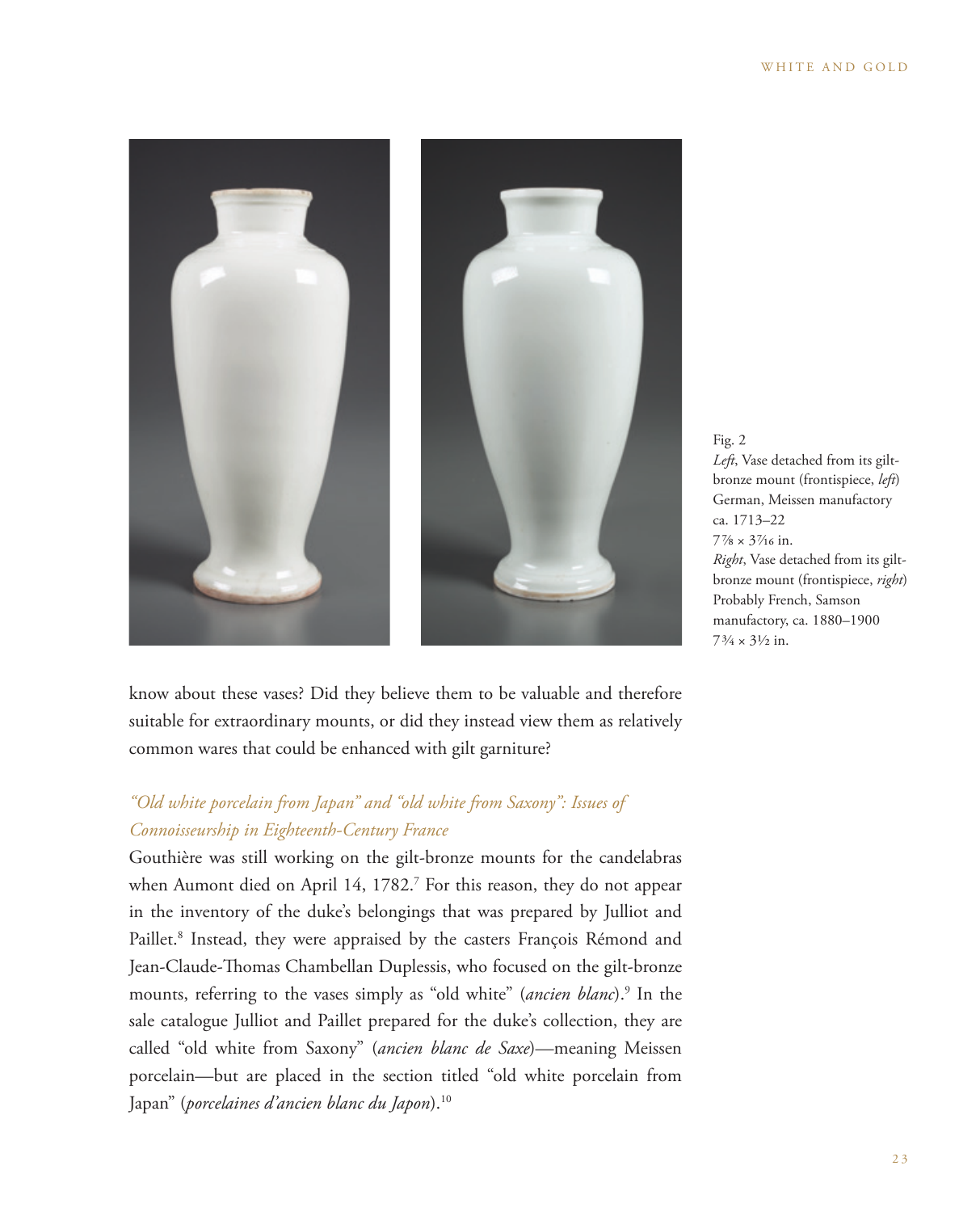

Fig. 2 *Left*, Vase detached from its giltbronze mount (frontispiece, *left*) German, Meissen manufactory ca. 1713–22 77∕8 × 37∕16 in. *Right*, Vase detached from its giltbronze mount (frontispiece, *right*) Probably French, Samson manufactory, ca. 1880–1900 73∕4 × 31∕2 in.

know about these vases? Did they believe them to be valuable and therefore suitable for extraordinary mounts, or did they instead view them as relatively common wares that could be enhanced with gilt garniture?

### *"Old white porcelain from Japan" and "old white from Saxony": Issues of Connoisseurship in Eighteenth-Century France*

Gouthière was still working on the gilt-bronze mounts for the candelabras when Aumont died on April 14, 1782.<sup>7</sup> For this reason, they do not appear in the inventory of the duke's belongings that was prepared by Julliot and Paillet.<sup>8</sup> Instead, they were appraised by the casters François Rémond and Jean-Claude-Thomas Chambellan Duplessis, who focused on the gilt-bronze mounts, referring to the vases simply as "old white" (*ancien blanc*).9 In the sale catalogue Julliot and Paillet prepared for the duke's collection, they are called "old white from Saxony" (*ancien blanc de Saxe*)—meaning Meissen porcelain—but are placed in the section titled "old white porcelain from Japan" (*porcelaines d'ancien blanc du Japon*).10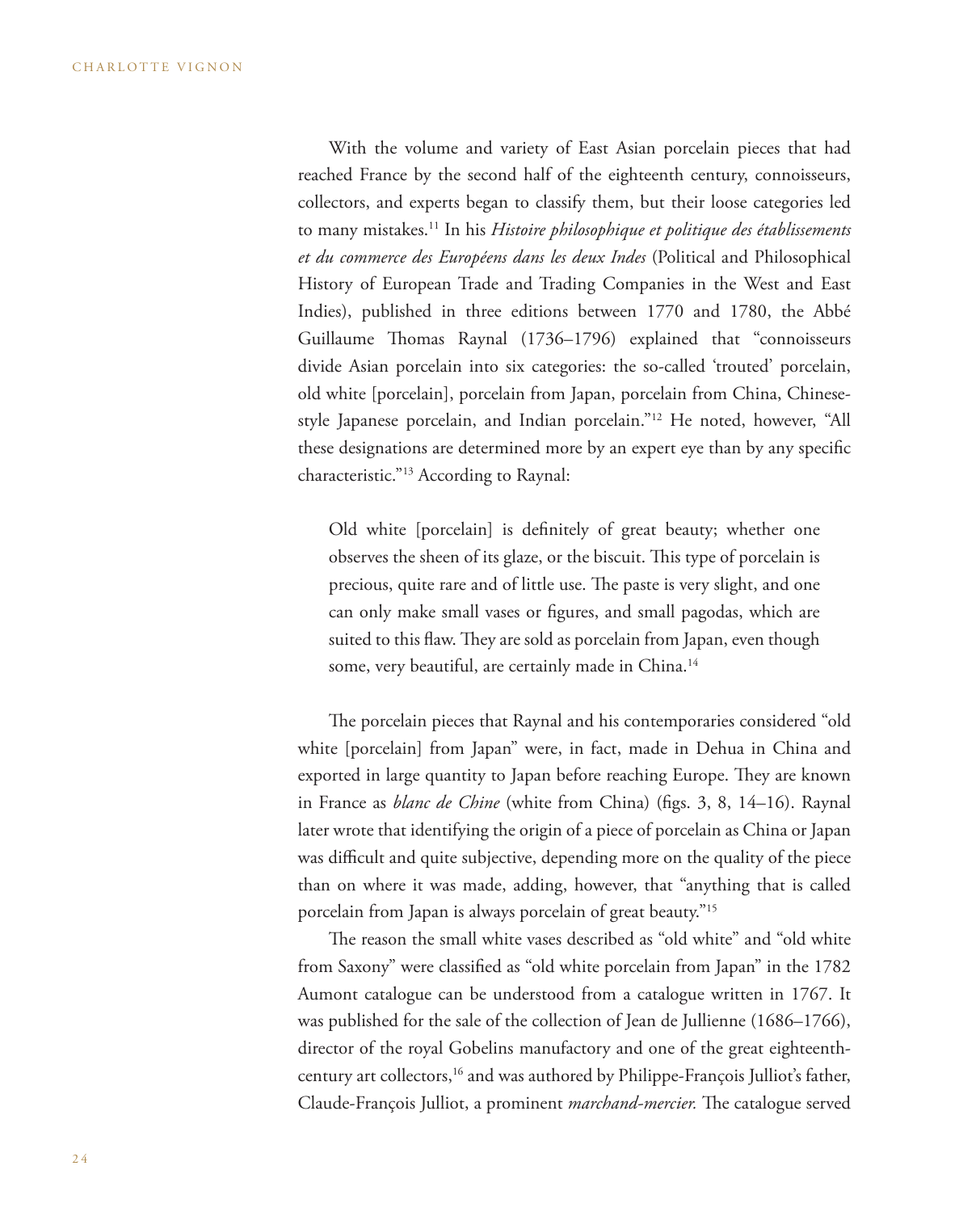With the volume and variety of East Asian porcelain pieces that had reached France by the second half of the eighteenth century, connoisseurs, collectors, and experts began to classify them, but their loose categories led to many mistakes.11 In his *Histoire philosophique et politique des établissements et du commerce des Européens dans les deux Indes* (Political and Philosophical History of European Trade and Trading Companies in the West and East Indies), published in three editions between 1770 and 1780, the Abbé Guillaume Thomas Raynal (1736–1796) explained that "connoisseurs divide Asian porcelain into six categories: the so-called 'trouted' porcelain, old white [porcelain], porcelain from Japan, porcelain from China, Chinesestyle Japanese porcelain, and Indian porcelain."12 He noted, however, "All these designations are determined more by an expert eye than by any specific characteristic."13 According to Raynal:

Old white [porcelain] is definitely of great beauty; whether one observes the sheen of its glaze, or the biscuit. This type of porcelain is precious, quite rare and of little use. The paste is very slight, and one can only make small vases or figures, and small pagodas, which are suited to this flaw. They are sold as porcelain from Japan, even though some, very beautiful, are certainly made in China.<sup>14</sup>

The porcelain pieces that Raynal and his contemporaries considered "old white [porcelain] from Japan" were, in fact, made in Dehua in China and exported in large quantity to Japan before reaching Europe. They are known in France as *blanc de Chine* (white from China) (figs. 3, 8, 14–16). Raynal later wrote that identifying the origin of a piece of porcelain as China or Japan was difficult and quite subjective, depending more on the quality of the piece than on where it was made, adding, however, that "anything that is called porcelain from Japan is always porcelain of great beauty."15

The reason the small white vases described as "old white" and "old white from Saxony" were classified as "old white porcelain from Japan" in the 1782 Aumont catalogue can be understood from a catalogue written in 1767. It was published for the sale of the collection of Jean de Jullienne (1686–1766), director of the royal Gobelins manufactory and one of the great eighteenthcentury art collectors,<sup>16</sup> and was authored by Philippe-François Julliot's father, Claude-François Julliot, a prominent *marchand-mercier.* The catalogue served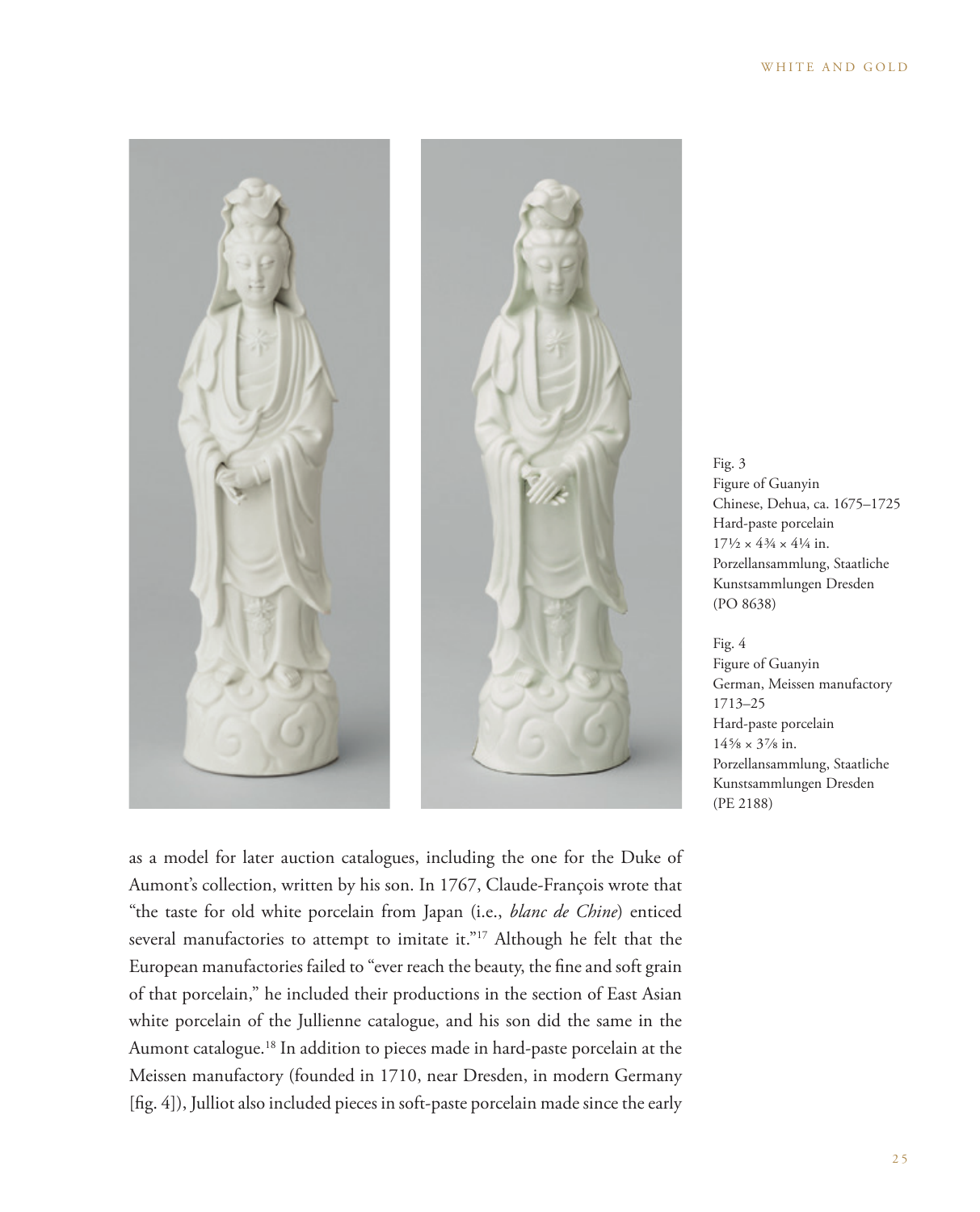#### WHITE AND GOLD



Fig. 3 Figure of Guanyin Chinese, Dehua, ca. 1675–1725 Hard-paste porcelain  $17\frac{1}{2} \times 4\frac{3}{4} \times 4\frac{1}{4}$  in. Porzellansammlung, Staatliche Kunstsammlungen Dresden (PO 8638)

Fig. 4 Figure of Guanyin German, Meissen manufactory 1713–25 Hard-paste porcelain 145⁄8 × 37⁄8 in. Porzellansammlung, Staatliche Kunstsammlungen Dresden (PE 2188)

as a model for later auction catalogues, including the one for the Duke of Aumont's collection, written by his son. In 1767, Claude-François wrote that "the taste for old white porcelain from Japan (i.e., *blanc de Chine*) enticed several manufactories to attempt to imitate it."<sup>17</sup> Although he felt that the European manufactories failed to "ever reach the beauty, the fine and soft grain of that porcelain," he included their productions in the section of East Asian white porcelain of the Jullienne catalogue, and his son did the same in the Aumont catalogue.18 In addition to pieces made in hard-paste porcelain at the Meissen manufactory (founded in 1710, near Dresden, in modern Germany [fig. 4]), Julliot also included pieces in soft-paste porcelain made since the early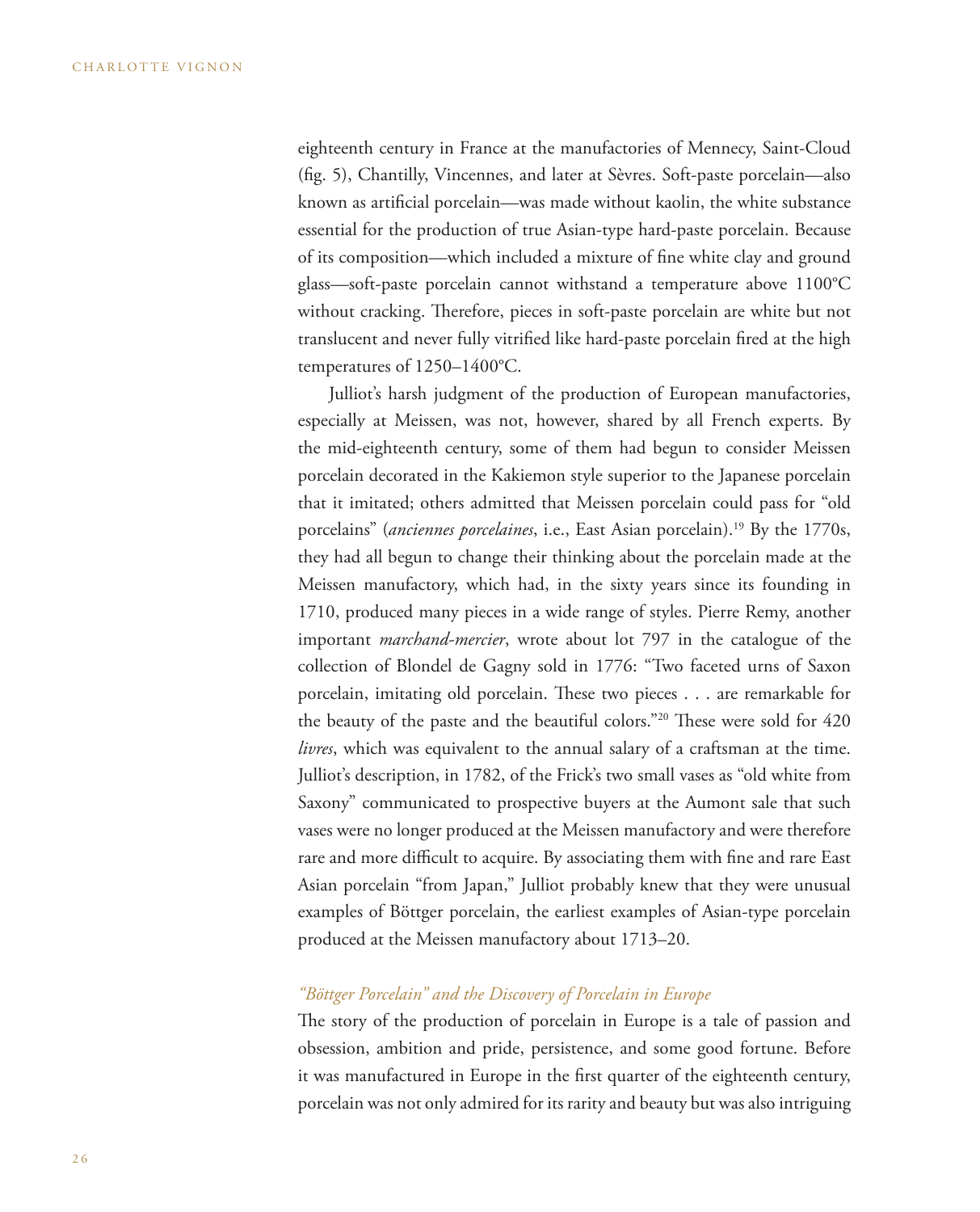eighteenth century in France at the manufactories of Mennecy, Saint-Cloud (fig. 5), Chantilly, Vincennes, and later at Sèvres. Soft-paste porcelain—also known as artificial porcelain—was made without kaolin, the white substance essential for the production of true Asian-type hard-paste porcelain. Because of its composition—which included a mixture of fine white clay and ground glass—soft-paste porcelain cannot withstand a temperature above 1100°C without cracking. Therefore, pieces in soft-paste porcelain are white but not translucent and never fully vitrified like hard-paste porcelain fired at the high temperatures of 1250–1400°C.

Julliot's harsh judgment of the production of European manufactories, especially at Meissen, was not, however, shared by all French experts. By the mid-eighteenth century, some of them had begun to consider Meissen porcelain decorated in the Kakiemon style superior to the Japanese porcelain that it imitated; others admitted that Meissen porcelain could pass for "old porcelains" (*anciennes porcelaines*, i.e., East Asian porcelain).<sup>19</sup> By the 1770s, they had all begun to change their thinking about the porcelain made at the Meissen manufactory, which had, in the sixty years since its founding in 1710, produced many pieces in a wide range of styles. Pierre Remy, another important *marchand-mercier*, wrote about lot 797 in the catalogue of the collection of Blondel de Gagny sold in 1776: "Two faceted urns of Saxon porcelain, imitating old porcelain. These two pieces . . . are remarkable for the beauty of the paste and the beautiful colors."20 These were sold for 420 *livres*, which was equivalent to the annual salary of a craftsman at the time. Julliot's description, in 1782, of the Frick's two small vases as "old white from Saxony" communicated to prospective buyers at the Aumont sale that such vases were no longer produced at the Meissen manufactory and were therefore rare and more difficult to acquire. By associating them with fine and rare East Asian porcelain "from Japan," Julliot probably knew that they were unusual examples of Böttger porcelain, the earliest examples of Asian-type porcelain produced at the Meissen manufactory about 1713–20.

#### *"Böttger Porcelain" and the Discovery of Porcelain in Europe*

The story of the production of porcelain in Europe is a tale of passion and obsession, ambition and pride, persistence, and some good fortune. Before it was manufactured in Europe in the first quarter of the eighteenth century, porcelain was not only admired for its rarity and beauty but was also intriguing